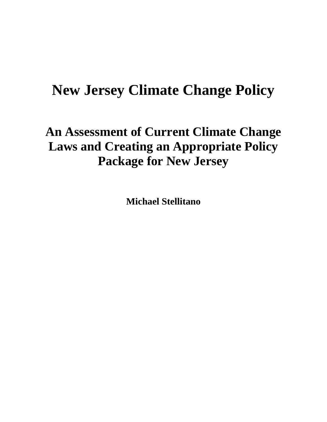# **New Jersey Climate Change Policy**

# **An Assessment of Current Climate Change Laws and Creating an Appropriate Policy Package for New Jersey**

**Michael Stellitano**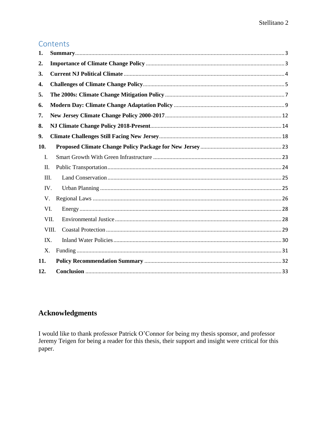# Contents

| 1.  |       |  |
|-----|-------|--|
| 2.  |       |  |
| 3.  |       |  |
| 4.  |       |  |
| 5.  |       |  |
| 6.  |       |  |
| 7.  |       |  |
| 8.  |       |  |
| 9.  |       |  |
| 10. |       |  |
| I.  |       |  |
| Π.  |       |  |
| Ш.  |       |  |
| IV. |       |  |
| V.  |       |  |
| VI. |       |  |
|     | VII.  |  |
|     | VIII. |  |
| IX. |       |  |
| X.  |       |  |
| 11. |       |  |
| 12. |       |  |

# **Acknowledgments**

I would like to thank professor Patrick O'Connor for being my thesis sponsor, and professor Jeremy Teigen for being a reader for this thesis, their support and insight were critical for this paper.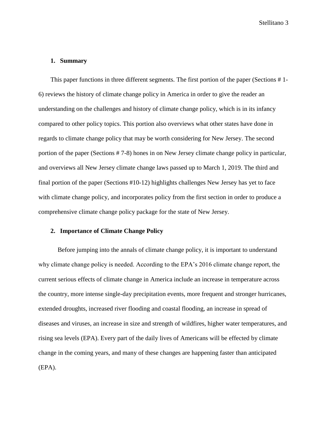#### <span id="page-2-0"></span>**1. Summary**

This paper functions in three different segments. The first portion of the paper (Sections # 1- 6) reviews the history of climate change policy in America in order to give the reader an understanding on the challenges and history of climate change policy, which is in its infancy compared to other policy topics. This portion also overviews what other states have done in regards to climate change policy that may be worth considering for New Jersey. The second portion of the paper (Sections # 7-8) hones in on New Jersey climate change policy in particular, and overviews all New Jersey climate change laws passed up to March 1, 2019. The third and final portion of the paper (Sections #10-12) highlights challenges New Jersey has yet to face with climate change policy, and incorporates policy from the first section in order to produce a comprehensive climate change policy package for the state of New Jersey.

# <span id="page-2-1"></span>**2. Importance of Climate Change Policy**

Before jumping into the annals of climate change policy, it is important to understand why climate change policy is needed. According to the EPA's 2016 climate change report, the current serious effects of climate change in America include an increase in temperature across the country, more intense single-day precipitation events, more frequent and stronger hurricanes, extended droughts, increased river flooding and coastal flooding, an increase in spread of diseases and viruses, an increase in size and strength of wildfires, higher water temperatures, and rising sea levels (EPA). Every part of the daily lives of Americans will be effected by climate change in the coming years, and many of these changes are happening faster than anticipated (EPA).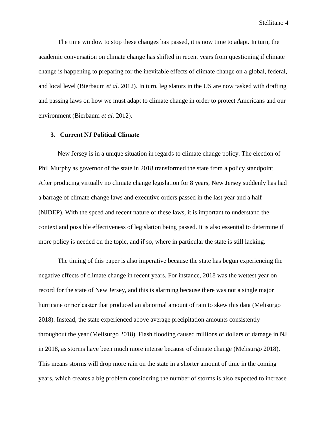The time window to stop these changes has passed, it is now time to adapt. In turn, the academic conversation on climate change has shifted in recent years from questioning if climate change is happening to preparing for the inevitable effects of climate change on a global, federal, and local level (Bierbaum *et al.* 2012). In turn, legislators in the US are now tasked with drafting and passing laws on how we must adapt to climate change in order to protect Americans and our environment (Bierbaum *et al.* 2012).

#### <span id="page-3-0"></span>**3. Current NJ Political Climate**

New Jersey is in a unique situation in regards to climate change policy. The election of Phil Murphy as governor of the state in 2018 transformed the state from a policy standpoint. After producing virtually no climate change legislation for 8 years, New Jersey suddenly has had a barrage of climate change laws and executive orders passed in the last year and a half (NJDEP). With the speed and recent nature of these laws, it is important to understand the context and possible effectiveness of legislation being passed. It is also essential to determine if more policy is needed on the topic, and if so, where in particular the state is still lacking.

The timing of this paper is also imperative because the state has begun experiencing the negative effects of climate change in recent years. For instance, 2018 was the wettest year on record for the state of New Jersey, and this is alarming because there was not a single major hurricane or nor'easter that produced an abnormal amount of rain to skew this data (Melisurgo 2018). Instead, the state experienced above average precipitation amounts consistently throughout the year (Melisurgo 2018). Flash flooding caused millions of dollars of damage in NJ in 2018, as storms have been much more intense because of climate change (Melisurgo 2018). This means storms will drop more rain on the state in a shorter amount of time in the coming years, which creates a big problem considering the number of storms is also expected to increase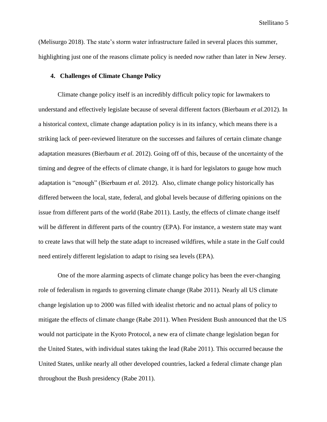(Melisurgo 2018). The state's storm water infrastructure failed in several places this summer, highlighting just one of the reasons climate policy is needed *now* rather than later in New Jersey.

#### <span id="page-4-0"></span>**4. Challenges of Climate Change Policy**

Climate change policy itself is an incredibly difficult policy topic for lawmakers to understand and effectively legislate because of several different factors (Bierbaum *et al.*2012). In a historical context, climate change adaptation policy is in its infancy, which means there is a striking lack of peer-reviewed literature on the successes and failures of certain climate change adaptation measures (Bierbaum *et al.* 2012). Going off of this, because of the uncertainty of the timing and degree of the effects of climate change, it is hard for legislators to gauge how much adaptation is "enough" (Bierbaum *et al.* 2012). Also, climate change policy historically has differed between the local, state, federal, and global levels because of differing opinions on the issue from different parts of the world (Rabe 2011). Lastly, the effects of climate change itself will be different in different parts of the country (EPA). For instance, a western state may want to create laws that will help the state adapt to increased wildfires, while a state in the Gulf could need entirely different legislation to adapt to rising sea levels (EPA).

One of the more alarming aspects of climate change policy has been the ever-changing role of federalism in regards to governing climate change (Rabe 2011). Nearly all US climate change legislation up to 2000 was filled with idealist rhetoric and no actual plans of policy to mitigate the effects of climate change (Rabe 2011). When President Bush announced that the US would not participate in the Kyoto Protocol, a new era of climate change legislation began for the United States, with individual states taking the lead (Rabe 2011). This occurred because the United States, unlike nearly all other developed countries, lacked a federal climate change plan throughout the Bush presidency (Rabe 2011).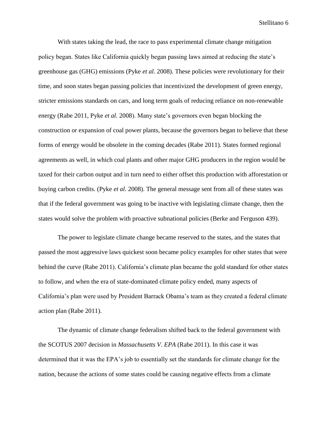With states taking the lead, the race to pass experimental climate change mitigation policy began. States like California quickly began passing laws aimed at reducing the state's greenhouse gas (GHG) emissions (Pyke *et al.* 2008). These policies were revolutionary for their time, and soon states began passing policies that incentivized the development of green energy, stricter emissions standards on cars, and long term goals of reducing reliance on non-renewable energy (Rabe 2011, Pyke *et al.* 2008). Many state's governors even began blocking the construction or expansion of coal power plants, because the governors began to believe that these forms of energy would be obsolete in the coming decades (Rabe 2011). States formed regional agreements as well, in which coal plants and other major GHG producers in the region would be taxed for their carbon output and in turn need to either offset this production with afforestation or buying carbon credits. (Pyke *et al.* 2008). The general message sent from all of these states was that if the federal government was going to be inactive with legislating climate change, then the states would solve the problem with proactive subnational policies (Berke and Ferguson 439).

The power to legislate climate change became reserved to the states, and the states that passed the most aggressive laws quickest soon became policy examples for other states that were behind the curve (Rabe 2011). California's climate plan became the gold standard for other states to follow, and when the era of state-dominated climate policy ended, many aspects of California's plan were used by President Barrack Obama's team as they created a federal climate action plan (Rabe 2011).

The dynamic of climate change federalism shifted back to the federal government with the SCOTUS 2007 decision in *Massachusetts V. EPA* (Rabe 2011). In this case it was determined that it was the EPA's job to essentially set the standards for climate change for the nation, because the actions of some states could be causing negative effects from a climate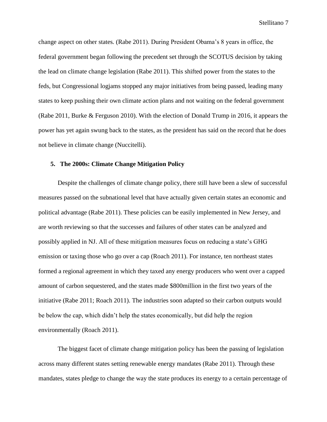change aspect on other states*.* (Rabe 2011). During President Obama's 8 years in office, the federal government began following the precedent set through the SCOTUS decision by taking the lead on climate change legislation (Rabe 2011). This shifted power from the states to the feds, but Congressional logjams stopped any major initiatives from being passed, leading many states to keep pushing their own climate action plans and not waiting on the federal government (Rabe 2011, Burke & Ferguson 2010). With the election of Donald Trump in 2016, it appears the power has yet again swung back to the states, as the president has said on the record that he does not believe in climate change (Nuccitelli).

# <span id="page-6-0"></span>**5. The 2000s: Climate Change Mitigation Policy**

Despite the challenges of climate change policy, there still have been a slew of successful measures passed on the subnational level that have actually given certain states an economic and political advantage (Rabe 2011). These policies can be easily implemented in New Jersey, and are worth reviewing so that the successes and failures of other states can be analyzed and possibly applied in NJ. All of these mitigation measures focus on reducing a state's GHG emission or taxing those who go over a cap (Roach 2011). For instance, ten northeast states formed a regional agreement in which they taxed any energy producers who went over a capped amount of carbon sequestered, and the states made \$800million in the first two years of the initiative (Rabe 2011; Roach 2011). The industries soon adapted so their carbon outputs would be below the cap, which didn't help the states economically, but did help the region environmentally (Roach 2011).

The biggest facet of climate change mitigation policy has been the passing of legislation across many different states setting renewable energy mandates (Rabe 2011). Through these mandates, states pledge to change the way the state produces its energy to a certain percentage of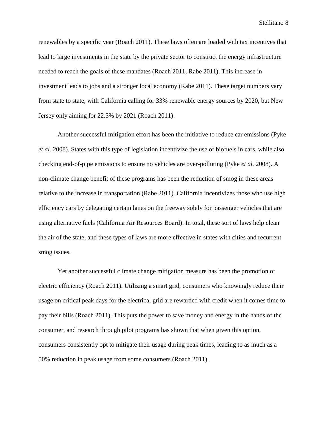renewables by a specific year (Roach 2011). These laws often are loaded with tax incentives that lead to large investments in the state by the private sector to construct the energy infrastructure needed to reach the goals of these mandates (Roach 2011; Rabe 2011). This increase in investment leads to jobs and a stronger local economy (Rabe 2011). These target numbers vary from state to state, with California calling for 33% renewable energy sources by 2020, but New Jersey only aiming for 22.5% by 2021 (Roach 2011).

Another successful mitigation effort has been the initiative to reduce car emissions (Pyke *et al.* 2008). States with this type of legislation incentivize the use of biofuels in cars, while also checking end-of-pipe emissions to ensure no vehicles are over-polluting (Pyke *et al.* 2008). A non-climate change benefit of these programs has been the reduction of smog in these areas relative to the increase in transportation (Rabe 2011). California incentivizes those who use high efficiency cars by delegating certain lanes on the freeway solely for passenger vehicles that are using alternative fuels (California Air Resources Board). In total, these sort of laws help clean the air of the state, and these types of laws are more effective in states with cities and recurrent smog issues.

Yet another successful climate change mitigation measure has been the promotion of electric efficiency (Roach 2011). Utilizing a smart grid, consumers who knowingly reduce their usage on critical peak days for the electrical grid are rewarded with credit when it comes time to pay their bills (Roach 2011). This puts the power to save money and energy in the hands of the consumer, and research through pilot programs has shown that when given this option, consumers consistently opt to mitigate their usage during peak times, leading to as much as a 50% reduction in peak usage from some consumers (Roach 2011).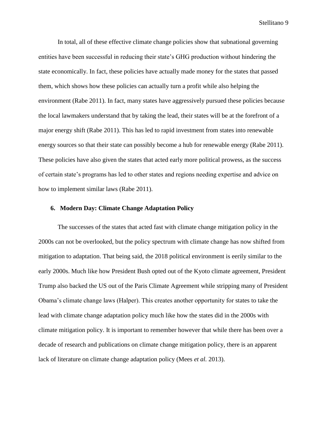In total, all of these effective climate change policies show that subnational governing entities have been successful in reducing their state's GHG production without hindering the state economically. In fact, these policies have actually made money for the states that passed them, which shows how these policies can actually turn a profit while also helping the environment (Rabe 2011). In fact, many states have aggressively pursued these policies because the local lawmakers understand that by taking the lead, their states will be at the forefront of a major energy shift (Rabe 2011). This has led to rapid investment from states into renewable energy sources so that their state can possibly become a hub for renewable energy (Rabe 2011). These policies have also given the states that acted early more political prowess, as the success of certain state's programs has led to other states and regions needing expertise and advice on how to implement similar laws (Rabe 2011).

# <span id="page-8-0"></span>**6. Modern Day: Climate Change Adaptation Policy**

The successes of the states that acted fast with climate change mitigation policy in the 2000s can not be overlooked, but the policy spectrum with climate change has now shifted from mitigation to adaptation. That being said, the 2018 political environment is eerily similar to the early 2000s. Much like how President Bush opted out of the Kyoto climate agreement, President Trump also backed the US out of the Paris Climate Agreement while stripping many of President Obama's climate change laws (Halper). This creates another opportunity for states to take the lead with climate change adaptation policy much like how the states did in the 2000s with climate mitigation policy. It is important to remember however that while there has been over a decade of research and publications on climate change mitigation policy, there is an apparent lack of literature on climate change adaptation policy (Mees *et al.* 2013).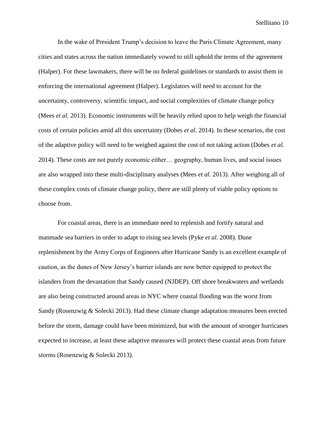In the wake of President Trump's decision to leave the Paris Climate Agreement, many cities and states across the nation immediately vowed to still uphold the terms of the agreement (Halper). For these lawmakers, there will be no federal guidelines or standards to assist them in enforcing the international agreement (Halper). Legislators will need to account for the uncertainty, controversy, scientific impact, and social complexities of climate change policy (Mees *et al.* 2013). Economic instruments will be heavily relied upon to help weigh the financial costs of certain policies amid all this uncertainty (Dobes *et al.* 2014). In these scenarios, the cost of the adaptive policy will need to be weighed against the cost of not taking action (Dobes *et al.*  2014). These costs are not purely economic either… geography, human lives, and social issues are also wrapped into these multi-disciplinary analyses (Mees *et al.* 2013). After weighing all of these complex costs of climate change policy, there are still plenty of viable policy options to choose from.

For coastal areas, there is an immediate need to replenish and fortify natural and manmade sea barriers in order to adapt to rising sea levels (Pyke *et al.* 2008). Dune replenishment by the Army Corps of Engineers after Hurricane Sandy is an excellent example of caution, as the dunes of New Jersey's barrier islands are now better equipped to protect the islanders from the devastation that Sandy caused (NJDEP). Off shore breakwaters and wetlands are also being constructed around areas in NYC where coastal flooding was the worst from Sandy (Rosenzwig & Solecki 2013). Had these climate change adaptation measures been erected before the storm, damage could have been minimized, but with the amount of stronger hurricanes expected to increase, at least these adaptive measures will protect these coastal areas from future storms (Rosenzwig & Solecki 2013).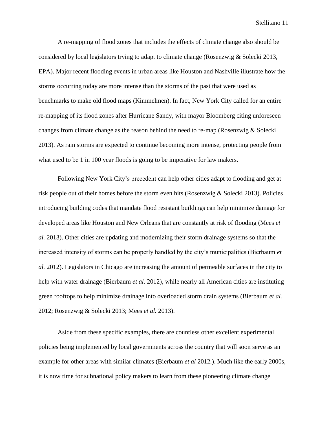A re-mapping of flood zones that includes the effects of climate change also should be considered by local legislators trying to adapt to climate change (Rosenzwig & Solecki 2013, EPA). Major recent flooding events in urban areas like Houston and Nashville illustrate how the storms occurring today are more intense than the storms of the past that were used as benchmarks to make old flood maps (Kimmelmen). In fact, New York City called for an entire re-mapping of its flood zones after Hurricane Sandy, with mayor Bloomberg citing unforeseen changes from climate change as the reason behind the need to re-map (Rosenzwig & Solecki 2013). As rain storms are expected to continue becoming more intense, protecting people from what used to be 1 in 100 year floods is going to be imperative for law makers.

Following New York City's precedent can help other cities adapt to flooding and get at risk people out of their homes before the storm even hits (Rosenzwig & Solecki 2013). Policies introducing building codes that mandate flood resistant buildings can help minimize damage for developed areas like Houston and New Orleans that are constantly at risk of flooding (Mees *et al.* 2013). Other cities are updating and modernizing their storm drainage systems so that the increased intensity of storms can be properly handled by the city's municipalities (Bierbaum *et al.* 2012). Legislators in Chicago are increasing the amount of permeable surfaces in the city to help with water drainage (Bierbaum *et al.* 2012), while nearly all American cities are instituting green rooftops to help minimize drainage into overloaded storm drain systems (Bierbaum *et al.*  2012; Rosenzwig & Solecki 2013; Mees *et al.* 2013).

Aside from these specific examples, there are countless other excellent experimental policies being implemented by local governments across the country that will soon serve as an example for other areas with similar climates (Bierbaum *et al* 2012*.*). Much like the early 2000s, it is now time for subnational policy makers to learn from these pioneering climate change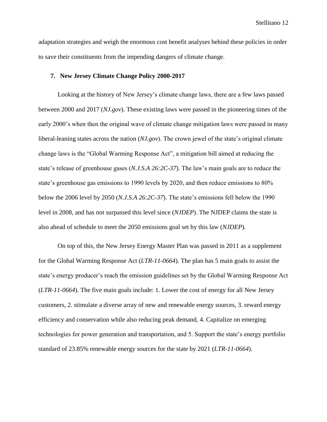adaptation strategies and weigh the enormous cost benefit analyses behind these policies in order to save their constituents from the impending dangers of climate change.

#### <span id="page-11-0"></span>**7. New Jersey Climate Change Policy 2000-2017**

Looking at the history of New Jersey's climate change laws, there are a few laws passed between 2000 and 2017 (*NJ.gov*). These existing laws were passed in the pioneering times of the early 2000's when then the original wave of climate change mitigation laws were passed in many liberal-leaning states across the nation (*NJ.gov*). The crown jewel of the state's original climate change laws is the "Global Warming Response Act", a mitigation bill aimed at reducing the state's release of greenhouse gases (*N.J.S.A 26:2C-37*). The law's main goals are to reduce the state's greenhouse gas emissions to 1990 levels by 2020, and then reduce emissions to 80% below the 2006 level by 2050 (*N.J.S.A 26:2C-37*). The state's emissions fell below the 1990 level in 2008, and has not surpassed this level since (*NJDEP*). The NJDEP claims the state is also ahead of schedule to meet the 2050 emissions goal set by this law (*NJDEP*).

On top of this, the New Jersey Energy Master Plan was passed in 2011 as a supplement for the Global Warming Response Act (*LTR-11-0664*). The plan has 5 main goals to assist the state's energy producer's reach the emission guidelines set by the Global Warming Response Act (*LTR-11-0664*). The five main goals include: 1. Lower the cost of energy for all New Jersey customers, 2. stimulate a diverse array of new and renewable energy sources, 3. reward energy efficiency and conservation while also reducing peak demand, 4. Capitalize on emerging technologies for power generation and transportation, and 5. Support the state's energy portfolio standard of 23.85% renewable energy sources for the state by 2021 (*LTR-11-0664*).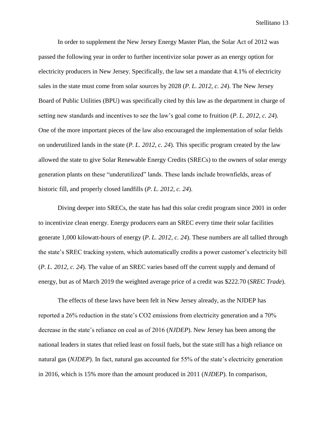In order to supplement the New Jersey Energy Master Plan, the Solar Act of 2012 was passed the following year in order to further incentivize solar power as an energy option for electricity producers in New Jersey. Specifically, the law set a mandate that 4.1% of electricity sales in the state must come from solar sources by 2028 (*P. L. 2012, c. 24*). The New Jersey Board of Public Utilities (BPU) was specifically cited by this law as the department in charge of setting new standards and incentives to see the law's goal come to fruition (*P. L. 2012, c. 24*). One of the more important pieces of the law also encouraged the implementation of solar fields on underutilized lands in the state (*P. L. 2012, c. 24*). This specific program created by the law allowed the state to give Solar Renewable Energy Credits (SRECs) to the owners of solar energy generation plants on these "underutilized" lands. These lands include brownfields, areas of historic fill, and properly closed landfills (*P. L. 2012, c. 24*).

Diving deeper into SRECs, the state has had this solar credit program since 2001 in order to incentivize clean energy. Energy producers earn an SREC every time their solar facilities generate 1,000 kilowatt-hours of energy (*P. L. 2012, c. 24*). These numbers are all tallied through the state's SREC tracking system, which automatically credits a power customer's electricity bill (*P. L. 2012, c. 24*). The value of an SREC varies based off the current supply and demand of energy, but as of March 2019 the weighted average price of a credit was \$222.70 (*SREC Trade*).

The effects of these laws have been felt in New Jersey already, as the NJDEP has reported a 26% reduction in the state's CO2 emissions from electricity generation and a 70% decrease in the state's reliance on coal as of 2016 (*NJDEP*). New Jersey has been among the national leaders in states that relied least on fossil fuels, but the state still has a high reliance on natural gas (*NJDEP*). In fact, natural gas accounted for 55% of the state's electricity generation in 2016, which is 15% more than the amount produced in 2011 (*NJDEP*). In comparison,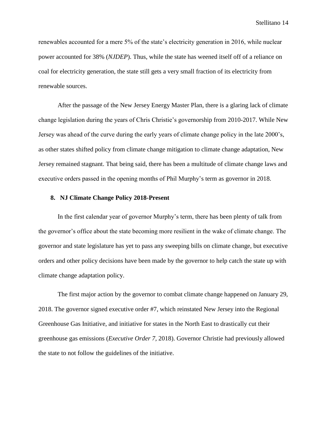renewables accounted for a mere 5% of the state's electricity generation in 2016, while nuclear power accounted for 38% (*NJDEP*). Thus, while the state has weened itself off of a reliance on coal for electricity generation, the state still gets a very small fraction of its electricity from renewable sources.

After the passage of the New Jersey Energy Master Plan, there is a glaring lack of climate change legislation during the years of Chris Christie's governorship from 2010-2017. While New Jersey was ahead of the curve during the early years of climate change policy in the late 2000's, as other states shifted policy from climate change mitigation to climate change adaptation, New Jersey remained stagnant. That being said, there has been a multitude of climate change laws and executive orders passed in the opening months of Phil Murphy's term as governor in 2018.

#### <span id="page-13-0"></span>**8. NJ Climate Change Policy 2018-Present**

In the first calendar year of governor Murphy's term, there has been plenty of talk from the governor's office about the state becoming more resilient in the wake of climate change. The governor and state legislature has yet to pass any sweeping bills on climate change, but executive orders and other policy decisions have been made by the governor to help catch the state up with climate change adaptation policy.

The first major action by the governor to combat climate change happened on January 29, 2018. The governor signed executive order #7, which reinstated New Jersey into the Regional Greenhouse Gas Initiative, and initiative for states in the North East to drastically cut their greenhouse gas emissions (*Executive Order 7,* 2018). Governor Christie had previously allowed the state to not follow the guidelines of the initiative.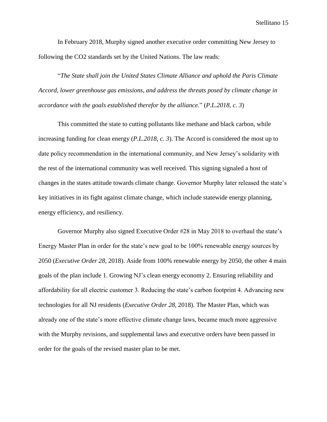In February 2018, Murphy signed another executive order committing New Jersey to following the CO2 standards set by the United Nations. The law reads:

"*The State shall join the United States Climate Alliance and uphold the Paris Climate Accord, lower greenhouse gas emissions, and address the threats posed by climate change in accordance with the goals established therefor by the alliance.*" (*P.L.2018, c. 3*)

This committed the state to cutting pollutants like methane and black carbon, while increasing funding for clean energy (*P.L.2018, c. 3*). The Accord is considered the most up to date policy recommendation in the international community, and New Jersey's solidarity with the rest of the international community was well received. This signing signaled a host of changes in the states attitude towards climate change. Governor Murphy later released the state's key initiatives in its fight against climate change, which include statewide energy planning, energy efficiency, and resiliency.

Governor Murphy also signed Executive Order #28 in May 2018 to overhaul the state's Energy Master Plan in order for the state's new goal to be 100% renewable energy sources by 2050 (*Executive Order 28,* 2018). Aside from 100% renewable energy by 2050, the other 4 main goals of the plan include 1. Growing NJ's clean energy economy 2. Ensuring reliability and affordability for all electric customer 3. Reducing the state's carbon footprint 4. Advancing new technologies for all NJ residents (*Executive Order 28,* 2018). The Master Plan, which was already one of the state's more effective climate change laws, became much more aggressive with the Murphy revisions, and supplemental laws and executive orders have been passed in order for the goals of the revised master plan to be met.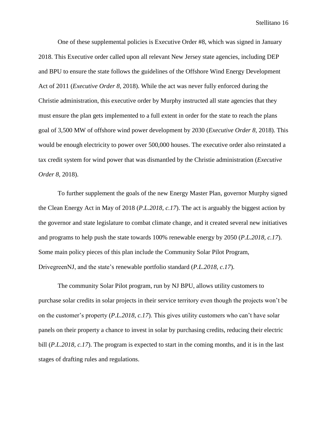One of these supplemental policies is Executive Order #8, which was signed in January 2018. This Executive order called upon all relevant New Jersey state agencies, including DEP and BPU to ensure the state follows the guidelines of the Offshore Wind Energy Development Act of 2011 (*Executive Order 8,* 2018). While the act was never fully enforced during the Christie administration, this executive order by Murphy instructed all state agencies that they must ensure the plan gets implemented to a full extent in order for the state to reach the plans goal of 3,500 MW of offshore wind power development by 2030 (*Executive Order 8,* 2018). This would be enough electricity to power over 500,000 houses. The executive order also reinstated a tax credit system for wind power that was dismantled by the Christie administration (*Executive Order 8,* 2018).

To further supplement the goals of the new Energy Master Plan, governor Murphy signed the Clean Energy Act in May of 2018 (*P.L.2018, c.17*). The act is arguably the biggest action by the governor and state legislature to combat climate change, and it created several new initiatives and programs to help push the state towards 100% renewable energy by 2050 (*P.L.2018, c.17*). Some main policy pieces of this plan include the Community Solar Pilot Program, DrivegreenNJ, and the state's renewable portfolio standard (*P.L.2018, c.17*).

The community Solar Pilot program, run by NJ BPU, allows utility customers to purchase solar credits in solar projects in their service territory even though the projects won't be on the customer's property (*P.L.2018, c.17*). This gives utility customers who can't have solar panels on their property a chance to invest in solar by purchasing credits, reducing their electric bill (*P.L.2018, c.17*). The program is expected to start in the coming months, and it is in the last stages of drafting rules and regulations.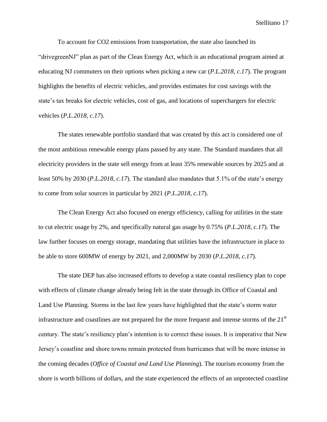To account for CO2 emissions from transportation, the state also launched its "drivegreenNJ" plan as part of the Clean Energy Act, which is an educational program aimed at educating NJ commuters on their options when picking a new car (*P.L.2018, c.17*). The program highlights the benefits of electric vehicles, and provides estimates for cost savings with the state's tax breaks for electric vehicles, cost of gas, and locations of superchargers for electric vehicles (*P.L.2018, c.17*).

The states renewable portfolio standard that was created by this act is considered one of the most ambitious renewable energy plans passed by any state. The Standard mandates that all electricity providers in the state sell energy from at least 35% renewable sources by 2025 and at least 50% by 2030 (*P.L.2018, c.17*). The standard also mandates that 5.1% of the state's energy to come from solar sources in particular by 2021 (*P.L.2018, c.17*).

The Clean Energy Act also focused on energy efficiency, calling for utilities in the state to cut electric usage by 2%, and specifically natural gas usage by 0.75% (*P.L.2018, c.17*). The law further focuses on energy storage, mandating that utilities have the infrastructure in place to be able to store 600MW of energy by 2021, and 2,000MW by 2030 (*P.L.2018, c.17*).

The state DEP has also increased efforts to develop a state coastal resiliency plan to cope with effects of climate change already being felt in the state through its Office of Coastal and Land Use Planning. Storms in the last few years have highlighted that the state's storm water infrastructure and coastlines are not prepared for the more frequent and intense storms of the  $21<sup>st</sup>$ century. The state's resiliency plan's intention is to correct these issues. It is imperative that New Jersey's coastline and shore towns remain protected from hurricanes that will be more intense in the coming decades (*Office of Coastal and Land Use Planning*). The tourism economy from the shore is worth billions of dollars, and the state experienced the effects of an unprotected coastline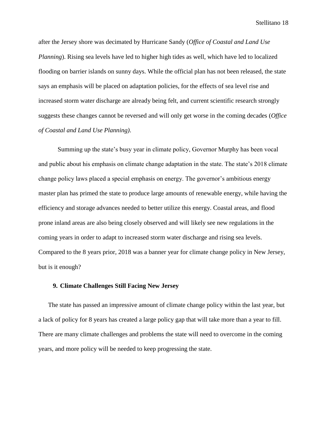after the Jersey shore was decimated by Hurricane Sandy (*Office of Coastal and Land Use Planning*). Rising sea levels have led to higher high tides as well, which have led to localized flooding on barrier islands on sunny days. While the official plan has not been released, the state says an emphasis will be placed on adaptation policies, for the effects of sea level rise and increased storm water discharge are already being felt, and current scientific research strongly suggests these changes cannot be reversed and will only get worse in the coming decades (*Office of Coastal and Land Use Planning)*.

Summing up the state's busy year in climate policy, Governor Murphy has been vocal and public about his emphasis on climate change adaptation in the state. The state's 2018 climate change policy laws placed a special emphasis on energy. The governor's ambitious energy master plan has primed the state to produce large amounts of renewable energy, while having the efficiency and storage advances needed to better utilize this energy. Coastal areas, and flood prone inland areas are also being closely observed and will likely see new regulations in the coming years in order to adapt to increased storm water discharge and rising sea levels. Compared to the 8 years prior, 2018 was a banner year for climate change policy in New Jersey, but is it enough?

#### <span id="page-17-0"></span>**9. Climate Challenges Still Facing New Jersey**

The state has passed an impressive amount of climate change policy within the last year, but a lack of policy for 8 years has created a large policy gap that will take more than a year to fill. There are many climate challenges and problems the state will need to overcome in the coming years, and more policy will be needed to keep progressing the state.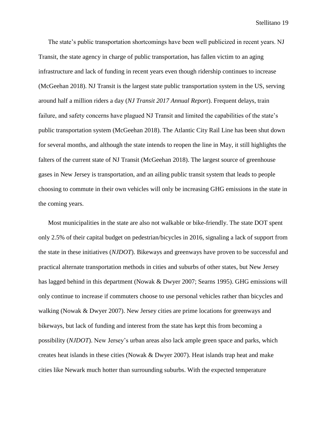The state's public transportation shortcomings have been well publicized in recent years. NJ Transit, the state agency in charge of public transportation, has fallen victim to an aging infrastructure and lack of funding in recent years even though ridership continues to increase (McGeehan 2018). NJ Transit is the largest state public transportation system in the US, serving around half a million riders a day (*NJ Transit 2017 Annual Report*). Frequent delays, train failure, and safety concerns have plagued NJ Transit and limited the capabilities of the state's public transportation system (McGeehan 2018). The Atlantic City Rail Line has been shut down for several months, and although the state intends to reopen the line in May, it still highlights the falters of the current state of NJ Transit (McGeehan 2018). The largest source of greenhouse gases in New Jersey is transportation, and an ailing public transit system that leads to people choosing to commute in their own vehicles will only be increasing GHG emissions in the state in the coming years.

Most municipalities in the state are also not walkable or bike-friendly. The state DOT spent only 2.5% of their capital budget on pedestrian/bicycles in 2016, signaling a lack of support from the state in these initiatives (*NJDOT*). Bikeways and greenways have proven to be successful and practical alternate transportation methods in cities and suburbs of other states, but New Jersey has lagged behind in this department (Nowak & Dwyer 2007; Searns 1995). GHG emissions will only continue to increase if commuters choose to use personal vehicles rather than bicycles and walking (Nowak & Dwyer 2007). New Jersey cities are prime locations for greenways and bikeways, but lack of funding and interest from the state has kept this from becoming a possibility (*NJDOT*). New Jersey's urban areas also lack ample green space and parks, which creates heat islands in these cities (Nowak & Dwyer 2007). Heat islands trap heat and make cities like Newark much hotter than surrounding suburbs. With the expected temperature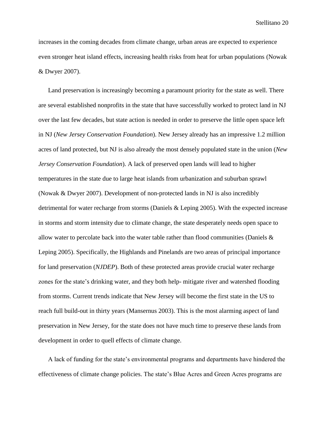increases in the coming decades from climate change, urban areas are expected to experience even stronger heat island effects, increasing health risks from heat for urban populations (Nowak & Dwyer 2007).

Land preservation is increasingly becoming a paramount priority for the state as well. There are several established nonprofits in the state that have successfully worked to protect land in NJ over the last few decades, but state action is needed in order to preserve the little open space left in NJ (*New Jersey Conservation Foundation*). New Jersey already has an impressive 1.2 million acres of land protected, but NJ is also already the most densely populated state in the union (*New Jersey Conservation Foundation*). A lack of preserved open lands will lead to higher temperatures in the state due to large heat islands from urbanization and suburban sprawl (Nowak & Dwyer 2007). Development of non-protected lands in NJ is also incredibly detrimental for water recharge from storms (Daniels & Leping 2005). With the expected increase in storms and storm intensity due to climate change, the state desperately needs open space to allow water to percolate back into the water table rather than flood communities (Daniels & Leping 2005). Specifically, the Highlands and Pinelands are two areas of principal importance for land preservation (*NJDEP*). Both of these protected areas provide crucial water recharge zones for the state's drinking water, and they both help- mitigate river and watershed flooding from storms. Current trends indicate that New Jersey will become the first state in the US to reach full build-out in thirty years (Mansernus 2003). This is the most alarming aspect of land preservation in New Jersey, for the state does not have much time to preserve these lands from development in order to quell effects of climate change.

A lack of funding for the state's environmental programs and departments have hindered the effectiveness of climate change policies. The state's Blue Acres and Green Acres programs are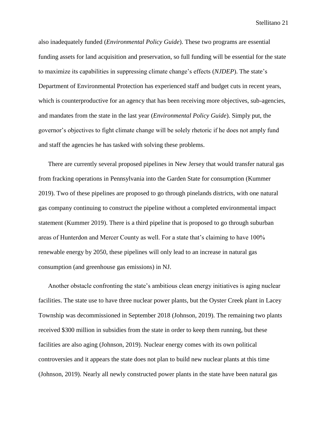also inadequately funded (*Environmental Policy Guide*). These two programs are essential funding assets for land acquisition and preservation, so full funding will be essential for the state to maximize its capabilities in suppressing climate change's effects (*NJDEP*). The state's Department of Environmental Protection has experienced staff and budget cuts in recent years, which is counterproductive for an agency that has been receiving more objectives, sub-agencies, and mandates from the state in the last year (*Environmental Policy Guide*). Simply put, the governor's objectives to fight climate change will be solely rhetoric if he does not amply fund and staff the agencies he has tasked with solving these problems.

There are currently several proposed pipelines in New Jersey that would transfer natural gas from fracking operations in Pennsylvania into the Garden State for consumption (Kummer 2019). Two of these pipelines are proposed to go through pinelands districts, with one natural gas company continuing to construct the pipeline without a completed environmental impact statement (Kummer 2019). There is a third pipeline that is proposed to go through suburban areas of Hunterdon and Mercer County as well. For a state that's claiming to have 100% renewable energy by 2050, these pipelines will only lead to an increase in natural gas consumption (and greenhouse gas emissions) in NJ.

Another obstacle confronting the state's ambitious clean energy initiatives is aging nuclear facilities. The state use to have three nuclear power plants, but the Oyster Creek plant in Lacey Township was decommissioned in September 2018 (Johnson, 2019). The remaining two plants received \$300 million in subsidies from the state in order to keep them running, but these facilities are also aging (Johnson, 2019). Nuclear energy comes with its own political controversies and it appears the state does not plan to build new nuclear plants at this time (Johnson, 2019). Nearly all newly constructed power plants in the state have been natural gas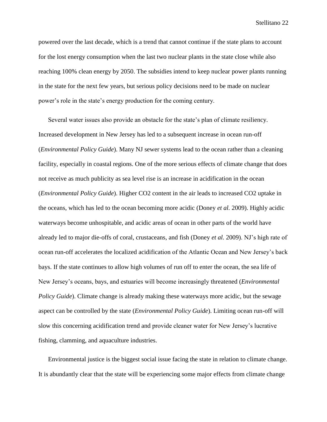powered over the last decade, which is a trend that cannot continue if the state plans to account for the lost energy consumption when the last two nuclear plants in the state close while also reaching 100% clean energy by 2050. The subsidies intend to keep nuclear power plants running in the state for the next few years, but serious policy decisions need to be made on nuclear power's role in the state's energy production for the coming century.

Several water issues also provide an obstacle for the state's plan of climate resiliency. Increased development in New Jersey has led to a subsequent increase in ocean run-off (*Environmental Policy Guide*). Many NJ sewer systems lead to the ocean rather than a cleaning facility, especially in coastal regions. One of the more serious effects of climate change that does not receive as much publicity as sea level rise is an increase in acidification in the ocean (*Environmental Policy Guide*). Higher CO2 content in the air leads to increased CO2 uptake in the oceans, which has led to the ocean becoming more acidic (Doney *et al.* 2009). Highly acidic waterways become unhospitable, and acidic areas of ocean in other parts of the world have already led to major die-offs of coral, crustaceans, and fish (Doney *et al.* 2009). NJ's high rate of ocean run-off accelerates the localized acidification of the Atlantic Ocean and New Jersey's back bays. If the state continues to allow high volumes of run off to enter the ocean, the sea life of New Jersey's oceans, bays, and estuaries will become increasingly threatened (*Environmental Policy Guide*). Climate change is already making these waterways more acidic, but the sewage aspect can be controlled by the state (*Environmental Policy Guide*). Limiting ocean run-off will slow this concerning acidification trend and provide cleaner water for New Jersey's lucrative fishing, clamming, and aquaculture industries.

Environmental justice is the biggest social issue facing the state in relation to climate change. It is abundantly clear that the state will be experiencing some major effects from climate change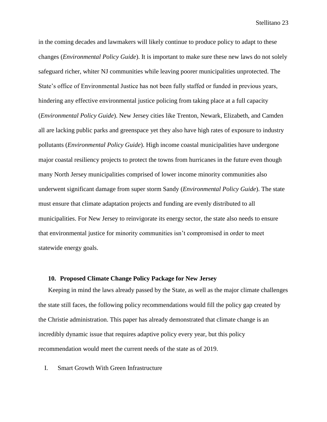in the coming decades and lawmakers will likely continue to produce policy to adapt to these changes (*Environmental Policy Guide*). It is important to make sure these new laws do not solely safeguard richer, whiter NJ communities while leaving poorer municipalities unprotected. The State's office of Environmental Justice has not been fully staffed or funded in previous years, hindering any effective environmental justice policing from taking place at a full capacity (*Environmental Policy Guide*). New Jersey cities like Trenton, Newark, Elizabeth, and Camden all are lacking public parks and greenspace yet they also have high rates of exposure to industry pollutants (*Environmental Policy Guide*). High income coastal municipalities have undergone major coastal resiliency projects to protect the towns from hurricanes in the future even though many North Jersey municipalities comprised of lower income minority communities also underwent significant damage from super storm Sandy (*Environmental Policy Guide*). The state must ensure that climate adaptation projects and funding are evenly distributed to all municipalities. For New Jersey to reinvigorate its energy sector, the state also needs to ensure that environmental justice for minority communities isn't compromised in order to meet statewide energy goals.

# <span id="page-22-0"></span>**10. Proposed Climate Change Policy Package for New Jersey**

Keeping in mind the laws already passed by the State, as well as the major climate challenges the state still faces, the following policy recommendations would fill the policy gap created by the Christie administration. This paper has already demonstrated that climate change is an incredibly dynamic issue that requires adaptive policy every year, but this policy recommendation would meet the current needs of the state as of 2019.

<span id="page-22-1"></span>I. Smart Growth With Green Infrastructure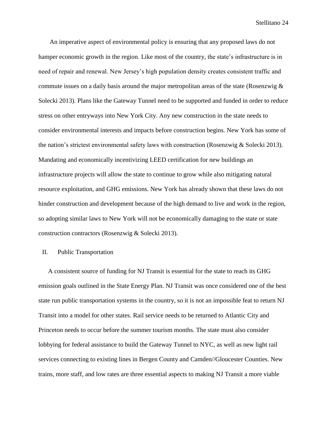An imperative aspect of environmental policy is ensuring that any proposed laws do not hamper economic growth in the region. Like most of the country, the state's infrastructure is in need of repair and renewal. New Jersey's high population density creates consistent traffic and commute issues on a daily basis around the major metropolitan areas of the state (Rosenzwig  $\&$ Solecki 2013). Plans like the Gateway Tunnel need to be supported and funded in order to reduce stress on other entryways into New York City. Any new construction in the state needs to consider environmental interests and impacts before construction begins. New York has some of the nation's strictest environmental safety laws with construction (Rosenzwig & Solecki 2013). Mandating and economically incentivizing LEED certification for new buildings an infrastructure projects will allow the state to continue to grow while also mitigating natural resource exploitation, and GHG emissions. New York has already shown that these laws do not hinder construction and development because of the high demand to live and work in the region, so adopting similar laws to New York will not be economically damaging to the state or state construction contractors (Rosenzwig & Solecki 2013).

#### <span id="page-23-0"></span>II. Public Transportation

A consistent source of funding for NJ Transit is essential for the state to reach its GHG emission goals outlined in the State Energy Plan. NJ Transit was once considered one of the best state run public transportation systems in the country, so it is not an impossible feat to return NJ Transit into a model for other states. Rail service needs to be returned to Atlantic City and Princeton needs to occur before the summer tourism months. The state must also consider lobbying for federal assistance to build the Gateway Tunnel to NYC, as well as new light rail services connecting to existing lines in Bergen County and Camden//Gloucester Counties. New trains, more staff, and low rates are three essential aspects to making NJ Transit a more viable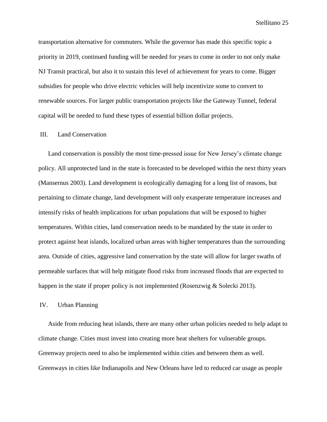transportation alternative for commuters. While the governor has made this specific topic a priority in 2019, continued funding will be needed for years to come in order to not only make NJ Transit practical, but also it to sustain this level of achievement for years to come. Bigger subsidies for people who drive electric vehicles will help incentivize some to convert to renewable sources. For larger public transportation projects like the Gateway Tunnel, federal capital will be needed to fund these types of essential billion dollar projects.

#### <span id="page-24-0"></span>III. Land Conservation

Land conservation is possibly the most time-pressed issue for New Jersey's climate change policy. All unprotected land in the state is forecasted to be developed within the next thirty years (Mansernus 2003). Land development is ecologically damaging for a long list of reasons, but pertaining to climate change, land development will only exasperate temperature increases and intensify risks of health implications for urban populations that will be exposed to higher temperatures. Within cities, land conservation needs to be mandated by the state in order to protect against heat islands, localized urban areas with higher temperatures than the surrounding area. Outside of cities, aggressive land conservation by the state will allow for larger swaths of permeable surfaces that will help mitigate flood risks from increased floods that are expected to happen in the state if proper policy is not implemented (Rosenzwig & Solecki 2013).

# <span id="page-24-1"></span>IV. Urban Planning

Aside from reducing heat islands, there are many other urban policies needed to help adapt to climate change. Cities must invest into creating more heat shelters for vulnerable groups. Greenway projects need to also be implemented within cities and between them as well. Greenways in cities like Indianapolis and New Orleans have led to reduced car usage as people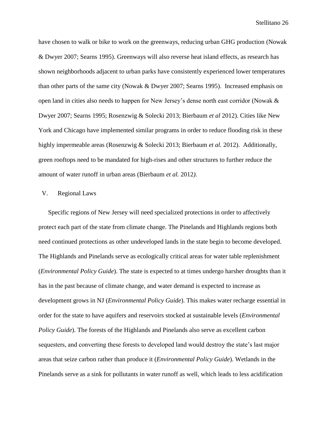have chosen to walk or bike to work on the greenways, reducing urban GHG production (Nowak & Dwyer 2007; Searns 1995). Greenways will also reverse heat island effects, as research has shown neighborhoods adjacent to urban parks have consistently experienced lower temperatures than other parts of the same city (Nowak & Dwyer 2007; Searns 1995). Increased emphasis on open land in cities also needs to happen for New Jersey's dense north east corridor (Nowak & Dwyer 2007; Searns 1995; Rosenzwig & Solecki 2013; Bierbaum *et al* 2012). Cities like New York and Chicago have implemented similar programs in order to reduce flooding risk in these highly impermeable areas (Rosenzwig & Solecki 2013; Bierbaum *et al.* 2012). Additionally, green rooftops need to be mandated for high-rises and other structures to further reduce the amount of water runoff in urban areas (Bierbaum *et al.* 2012*)*.

# <span id="page-25-0"></span>V. Regional Laws

Specific regions of New Jersey will need specialized protections in order to affectively protect each part of the state from climate change. The Pinelands and Highlands regions both need continued protections as other undeveloped lands in the state begin to become developed. The Highlands and Pinelands serve as ecologically critical areas for water table replenishment (*Environmental Policy Guide*). The state is expected to at times undergo harsher droughts than it has in the past because of climate change, and water demand is expected to increase as development grows in NJ (*Environmental Policy Guide*). This makes water recharge essential in order for the state to have aquifers and reservoirs stocked at sustainable levels (*Environmental Policy Guide*). The forests of the Highlands and Pinelands also serve as excellent carbon sequesters, and converting these forests to developed land would destroy the state's last major areas that seize carbon rather than produce it (*Environmental Policy Guide*). Wetlands in the Pinelands serve as a sink for pollutants in water runoff as well, which leads to less acidification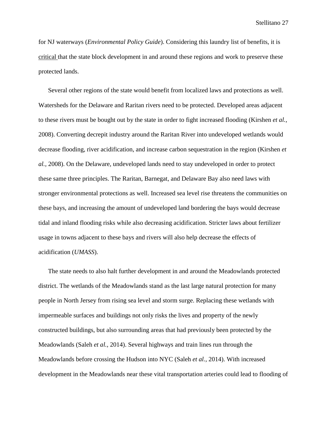for NJ waterways (*Environmental Policy Guide*). Considering this laundry list of benefits, it is critical that the state block development in and around these regions and work to preserve these protected lands.

Several other regions of the state would benefit from localized laws and protections as well. Watersheds for the Delaware and Raritan rivers need to be protected. Developed areas adjacent to these rivers must be bought out by the state in order to fight increased flooding (Kirshen *et al.,*  2008). Converting decrepit industry around the Raritan River into undeveloped wetlands would decrease flooding, river acidification, and increase carbon sequestration in the region (Kirshen *et al.,* 2008). On the Delaware, undeveloped lands need to stay undeveloped in order to protect these same three principles. The Raritan, Barnegat, and Delaware Bay also need laws with stronger environmental protections as well. Increased sea level rise threatens the communities on these bays, and increasing the amount of undeveloped land bordering the bays would decrease tidal and inland flooding risks while also decreasing acidification. Stricter laws about fertilizer usage in towns adjacent to these bays and rivers will also help decrease the effects of acidification (*UMASS*).

The state needs to also halt further development in and around the Meadowlands protected district. The wetlands of the Meadowlands stand as the last large natural protection for many people in North Jersey from rising sea level and storm surge. Replacing these wetlands with impermeable surfaces and buildings not only risks the lives and property of the newly constructed buildings, but also surrounding areas that had previously been protected by the Meadowlands (Saleh *et al.,* 2014). Several highways and train lines run through the Meadowlands before crossing the Hudson into NYC (Saleh *et al.,* 2014). With increased development in the Meadowlands near these vital transportation arteries could lead to flooding of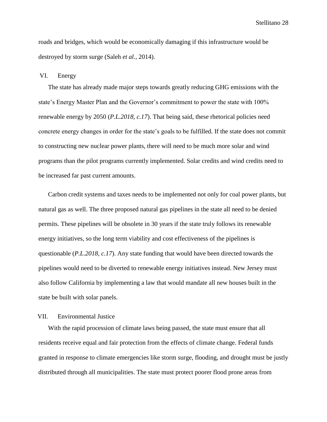roads and bridges, which would be economically damaging if this infrastructure would be destroyed by storm surge (Saleh *et al.,* 2014).

#### <span id="page-27-0"></span>VI. Energy

The state has already made major steps towards greatly reducing GHG emissions with the state's Energy Master Plan and the Governor's commitment to power the state with 100% renewable energy by 2050 (*P.L.2018, c.17*). That being said, these rhetorical policies need concrete energy changes in order for the state's goals to be fulfilled. If the state does not commit to constructing new nuclear power plants, there will need to be much more solar and wind programs than the pilot programs currently implemented. Solar credits and wind credits need to be increased far past current amounts.

Carbon credit systems and taxes needs to be implemented not only for coal power plants, but natural gas as well. The three proposed natural gas pipelines in the state all need to be denied permits. These pipelines will be obsolete in 30 years if the state truly follows its renewable energy initiatives, so the long term viability and cost effectiveness of the pipelines is questionable (*P.L.2018, c.17*). Any state funding that would have been directed towards the pipelines would need to be diverted to renewable energy initiatives instead. New Jersey must also follow California by implementing a law that would mandate all new houses built in the state be built with solar panels.

# <span id="page-27-1"></span>VII. Environmental Justice

With the rapid procession of climate laws being passed, the state must ensure that all residents receive equal and fair protection from the effects of climate change. Federal funds granted in response to climate emergencies like storm surge, flooding, and drought must be justly distributed through all municipalities. The state must protect poorer flood prone areas from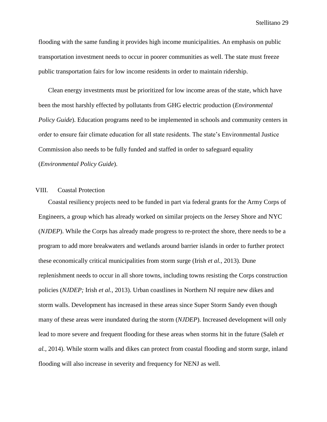flooding with the same funding it provides high income municipalities. An emphasis on public transportation investment needs to occur in poorer communities as well. The state must freeze public transportation fairs for low income residents in order to maintain ridership.

Clean energy investments must be prioritized for low income areas of the state, which have been the most harshly effected by pollutants from GHG electric production (*Environmental Policy Guide*). Education programs need to be implemented in schools and community centers in order to ensure fair climate education for all state residents. The state's Environmental Justice Commission also needs to be fully funded and staffed in order to safeguard equality (*Environmental Policy Guide*).

#### <span id="page-28-0"></span>VIII. Coastal Protection

Coastal resiliency projects need to be funded in part via federal grants for the Army Corps of Engineers, a group which has already worked on similar projects on the Jersey Shore and NYC (*NJDEP*). While the Corps has already made progress to re-protect the shore, there needs to be a program to add more breakwaters and wetlands around barrier islands in order to further protect these economically critical municipalities from storm surge (Irish *et al.,* 2013). Dune replenishment needs to occur in all shore towns, including towns resisting the Corps construction policies (*NJDEP;* Irish *et al.,* 2013). Urban coastlines in Northern NJ require new dikes and storm walls. Development has increased in these areas since Super Storm Sandy even though many of these areas were inundated during the storm (*NJDEP*). Increased development will only lead to more severe and frequent flooding for these areas when storms hit in the future (Saleh *et al.,* 2014). While storm walls and dikes can protect from coastal flooding and storm surge, inland flooding will also increase in severity and frequency for NENJ as well.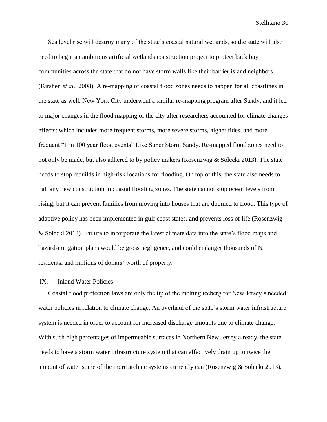Sea level rise will destroy many of the state's coastal natural wetlands, so the state will also need to begin an ambitious artificial wetlands construction project to protect back bay communities across the state that do not have storm walls like their barrier island neighbors (Kirshen *et al.,* 2008). A re-mapping of coastal flood zones needs to happen for all coastlines in the state as well. New York City underwent a similar re-mapping program after Sandy, and it led to major changes in the flood mapping of the city after researchers accounted for climate changes effects: which includes more frequent storms, more severe storms, higher tides, and more frequent "1 in 100 year flood events" Like Super Storm Sandy. Re-mapped flood zones need to not only be made, but also adhered to by policy makers (Rosenzwig & Solecki 2013). The state needs to stop rebuilds in high-risk locations for flooding. On top of this, the state also needs to halt any new construction in coastal flooding zones. The state cannot stop ocean levels from rising, but it can prevent families from moving into houses that are doomed to flood. This type of adaptive policy has been implemented in gulf coast states, and prevents loss of life (Rosenzwig & Solecki 2013). Failure to incorporate the latest climate data into the state's flood maps and hazard-mitigation plans would be gross negligence, and could endanger thousands of NJ residents, and millions of dollars' worth of property.

#### <span id="page-29-0"></span>IX. Inland Water Policies

Coastal flood protection laws are only the tip of the melting iceberg for New Jersey's needed water policies in relation to climate change. An overhaul of the state's storm water infrastructure system is needed in order to account for increased discharge amounts due to climate change. With such high percentages of impermeable surfaces in Northern New Jersey already, the state needs to have a storm water infrastructure system that can effectively drain up to twice the amount of water some of the more archaic systems currently can (Rosenzwig & Solecki 2013).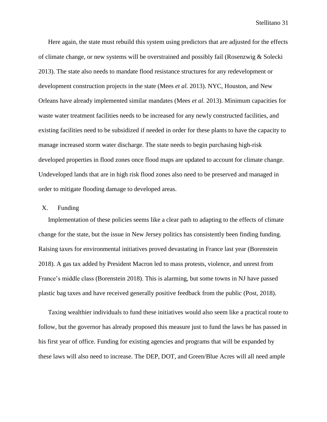Here again, the state must rebuild this system using predictors that are adjusted for the effects of climate change, or new systems will be overstrained and possibly fail (Rosenzwig & Solecki 2013). The state also needs to mandate flood resistance structures for any redevelopment or development construction projects in the state (Mees *et al.* 2013). NYC, Houston, and New Orleans have already implemented similar mandates (Mees *et al.* 2013). Minimum capacities for waste water treatment facilities needs to be increased for any newly constructed facilities, and existing facilities need to be subsidized if needed in order for these plants to have the capacity to manage increased storm water discharge. The state needs to begin purchasing high-risk developed properties in flood zones once flood maps are updated to account for climate change. Undeveloped lands that are in high risk flood zones also need to be preserved and managed in order to mitigate flooding damage to developed areas.

#### <span id="page-30-0"></span>X. Funding

Implementation of these policies seems like a clear path to adapting to the effects of climate change for the state, but the issue in New Jersey politics has consistently been finding funding. Raising taxes for environmental initiatives proved devastating in France last year (Borenstein 2018). A gas tax added by President Macron led to mass protests, violence, and unrest from France's middle class (Borenstein 2018). This is alarming, but some towns in NJ have passed plastic bag taxes and have received generally positive feedback from the public (Post, 2018).

Taxing wealthier individuals to fund these initiatives would also seem like a practical route to follow, but the governor has already proposed this measure just to fund the laws he has passed in his first year of office. Funding for existing agencies and programs that will be expanded by these laws will also need to increase. The DEP, DOT, and Green/Blue Acres will all need ample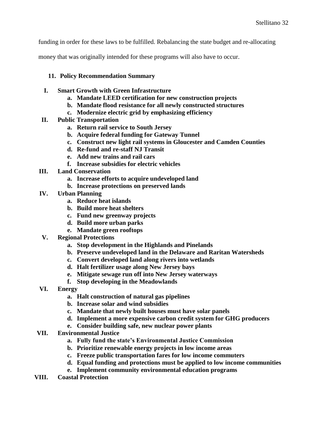funding in order for these laws to be fulfilled. Rebalancing the state budget and re-allocating

money that was originally intended for these programs will also have to occur.

# <span id="page-31-0"></span>**11. Policy Recommendation Summary**

- **I. Smart Growth with Green Infrastructure** 
	- **a. Mandate LEED certification for new construction projects**
	- **b. Mandate flood resistance for all newly constructed structures**
	- **c. Modernize electric grid by emphasizing efficiency**
- **II. Public Transportation**
	- **a. Return rail service to South Jersey**
	- **b. Acquire federal funding for Gateway Tunnel**
	- **c. Construct new light rail systems in Gloucester and Camden Counties**
	- **d. Re-fund and re-staff NJ Transit**
	- **e. Add new trains and rail cars**
	- **f. Increase subsidies for electric vehicles**
- **III. Land Conservation**
	- **a. Increase efforts to acquire undeveloped land**
	- **b. Increase protections on preserved lands**
- **IV. Urban Planning**
	- **a. Reduce heat islands**
	- **b. Build more heat shelters**
	- **c. Fund new greenway projects**
	- **d. Build more urban parks**
	- **e. Mandate green rooftops**
- **V. Regional Protections**
	- **a. Stop development in the Highlands and Pinelands**
	- **b. Preserve undeveloped land in the Delaware and Raritan Watersheds**
	- **c. Convert developed land along rivers into wetlands**
	- **d. Halt fertilizer usage along New Jersey bays**
	- **e. Mitigate sewage run off into New Jersey waterways**
	- **f. Stop developing in the Meadowlands**
- **VI. Energy**
	- **a. Halt construction of natural gas pipelines**
	- **b. Increase solar and wind subsidies**
	- **c. Mandate that newly built houses must have solar panels**
	- **d. Implement a more expensive carbon credit system for GHG producers**
	- **e. Consider building safe, new nuclear power plants**
- **VII. Environmental Justice**
	- **a. Fully fund the state's Environmental Justice Commission**
	- **b. Prioritize renewable energy projects in low income areas**
	- **c. Freeze public transportation fares for low income commuters**
	- **d. Equal funding and protections must be applied to low income communities**
	- **e. Implement community environmental education programs**
- **VIII. Coastal Protection**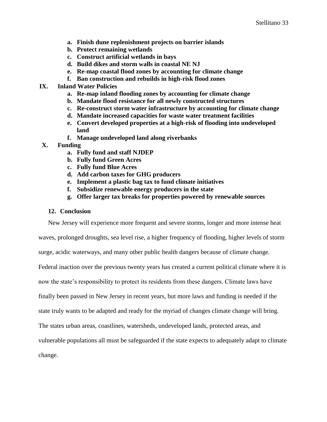- **a. Finish dune replenishment projects on barrier islands**
- **b. Protect remaining wetlands**
- **c. Construct artificial wetlands in bays**
- **d. Build dikes and storm walls in coastal NE NJ**
- **e. Re-map coastal flood zones by accounting for climate change**
- **f. Ban construction and rebuilds in high-risk flood zones**
- **IX. Inland Water Policies**
	- **a. Re-map inland flooding zones by accounting for climate change**
	- **b. Mandate flood resistance for all newly constructed structures**
	- **c. Re-construct storm water infrastructure by accounting for climate change**
	- **d. Mandate increased capacities for waste water treatment facilities**
	- **e. Convert developed properties at a high-risk of flooding into undeveloped land**
	- **f. Manage undeveloped land along riverbanks**
- **X. Funding**
	- **a. Fully fund and staff NJDEP**
	- **b. Fully fund Green Acres**
	- **c. Fully fund Blue Acres**
	- **d. Add carbon taxes for GHG producers**
	- **e. Implement a plastic bag tax to fund climate initiatives**
	- **f. Subsidize renewable energy producers in the state**
	- **g. Offer larger tax breaks for properties powered by renewable sources**

# <span id="page-32-0"></span>**12. Conclusion**

New Jersey will experience more frequent and severe storms, longer and more intense heat

waves, prolonged droughts, sea level rise, a higher frequency of flooding, higher levels of storm

surge, acidic waterways, and many other public health dangers because of climate change.

Federal inaction over the previous twenty years has created a current political climate where it is

now the state's responsibility to protect its residents from these dangers. Climate laws have

finally been passed in New Jersey in recent years, but more laws and funding is needed if the

state truly wants to be adapted and ready for the myriad of changes climate change will bring.

The states urban areas, coastlines, watersheds, undeveloped lands, protected areas, and

vulnerable populations all must be safeguarded if the state expects to adequately adapt to climate

change.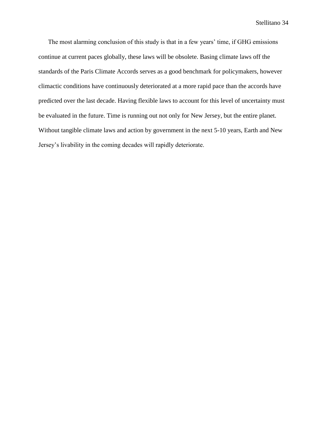The most alarming conclusion of this study is that in a few years' time, if GHG emissions continue at current paces globally, these laws will be obsolete. Basing climate laws off the standards of the Paris Climate Accords serves as a good benchmark for policymakers, however climactic conditions have continuously deteriorated at a more rapid pace than the accords have predicted over the last decade. Having flexible laws to account for this level of uncertainty must be evaluated in the future. Time is running out not only for New Jersey, but the entire planet. Without tangible climate laws and action by government in the next 5-10 years, Earth and New Jersey's livability in the coming decades will rapidly deteriorate.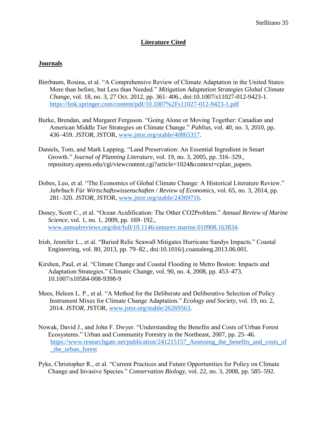# **Literature Cited**

# **Journals**

- Bierbaum, Rosina, et al. "A Comprehensive Review of Climate Adaptation in the United States: More than before, but Less than Needed." *Mitigation Adaptation Strategies Global Climate Change*, vol. 18, no. 3, 27 Oct. 2012, pp. 361–406., doi:10.1007/s11027-012-9423-1. <https://link.springer.com/content/pdf/10.1007%2Fs11027-012-9423-1.pdf>
- Burke, Brendan, and Margaret Ferguson. "Going Alone or Moving Together: Canadian and American Middle Tier Strategies on Climate Change." *Publius*, vol. 40, no. 3, 2010, pp. 436–459. *JSTOR*, JSTOR, [www.jstor.org/stable/40865317.](http://www.jstor.org/stable/40865317)
- Daniels, Tom, and Mark Lapping. "Land Preservation: An Essential Ingredient in Smart Growth." *Journal of Planning Literature*, vol. 19, no. 3, 2005, pp. 316–329., repository.upenn.edu/cgi/viewcontent.cgi?article=1024&context=cplan\_papers.
- Dobes, Leo, et al. "The Economics of Global Climate Change: A Historical Literature Review." *Jahrbuch Für Wirtschaftswissenschaften / Review of Economics*, vol. 65, no. 3, 2014, pp. 281–320. *JSTOR*, JSTOR, [www.jstor.org/stable/24369716.](http://www.jstor.org/stable/24369716)
- Doney, Scott C., et al. "Ocean Acidification: The Other CO2Problem." *Annual Review of Marine Science*, vol. 1, no. 1, 2009, pp. 169–192., [www.annualreviews.org/doi/full/10.1146/annurev.marine.010908.163834.](http://www.annualreviews.org/doi/full/10.1146/annurev.marine.010908.163834)
- Irish, Jennifer L., et al. "Buried Relic Seawall Mitigates Hurricane Sandys Impacts." Coastal Engineering, vol. 80, 2013, pp. 79–82., doi:10.1016/j.coastaleng.2013.06.001.
- Kirshen, Paul, et al. "Climate Change and Coastal Flooding in Metro Boston: Impacts and Adaptation Strategies." Climatic Change, vol. 90, no. 4, 2008, pp. 453–473. 10.1007/s10584-008-9398-9
- Mees, Heleen L. P., et al. "A Method for the Deliberate and Deliberative Selection of Policy Instrument Mixes for Climate Change Adaptation." *Ecology and Society*, vol. 19, no. 2, 2014. *JSTOR*, JSTOR, [www.jstor.org/stable/26269563.](http://www.jstor.org/stable/26269563)
- Nowak, David J., and John F. Dwyer. "Understanding the Benefits and Costs of Urban Forest Ecosystems." Urban and Community Forestry in the Northeast, 2007, pp. 25–46. https://www.researchgate.net/publication/241215157 Assessing the benefits and costs of [\\_the\\_urban\\_forest](https://www.researchgate.net/publication/241215157_Assessing_the_benefits_and_costs_of_the_urban_forest)
- Pyke, Christopher R., et al. "Current Practices and Future Opportunities for Policy on Climate Change and Invasive Species." *Conservation Biology*, vol. 22, no. 3, 2008, pp. 585–592.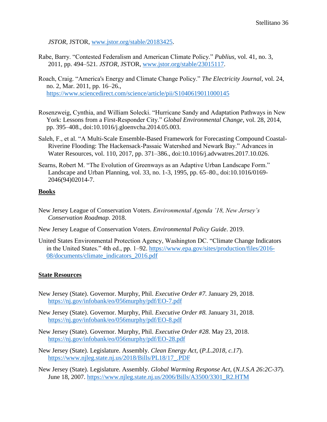*JSTOR*, JSTOR, [www.jstor.org/stable/20183425.](http://www.jstor.org/stable/20183425)

- Rabe, Barry. "Contested Federalism and American Climate Policy." *Publius*, vol. 41, no. 3, 2011, pp. 494–521. *JSTOR*, JSTOR, [www.jstor.org/stable/23015117.](http://www.jstor.org/stable/23015117)
- Roach, Craig. "America's Energy and Climate Change Policy." *The Electricity Journal*, vol. 24, no. 2, Mar. 2011, pp. 16–26., <https://www.sciencedirect.com/science/article/pii/S1040619011000145>
- Rosenzweig, Cynthia, and William Solecki. "Hurricane Sandy and Adaptation Pathways in New York: Lessons from a First-Responder City." *Global Environmental Change*, vol. 28, 2014, pp. 395–408., doi:10.1016/j.gloenvcha.2014.05.003.
- Saleh, F., et al. "A Multi-Scale Ensemble-Based Framework for Forecasting Compound Coastal- Riverine Flooding: The Hackensack-Passaic Watershed and Newark Bay." Advances in Water Resources, vol. 110, 2017, pp. 371–386., doi:10.1016/j.advwatres.2017.10.026.
- Searns, Robert M. "The Evolution of Greenways as an Adaptive Urban Landscape Form." Landscape and Urban Planning, vol. 33, no. 1-3, 1995, pp. 65–80., doi:10.1016/0169- 2046(94)02014-7.

# **Books**

- New Jersey League of Conservation Voters. *Environmental Agenda '18, New Jersey's Conservation Roadmap.* 2018.
- New Jersey League of Conservation Voters. *Environmental Policy Guide*. 2019.
- United States Environmental Protection Agency, Washington DC. "Climate Change Indicators in the United States." 4th ed., pp. 1–92. [https://www.epa.gov/sites/production/files/2016-](https://www.epa.gov/sites/production/files/2016-%20%20%20%20%2008/documents/climate_indicators_2016.pdf)  [08/documents/climate\\_indicators\\_2016.pdf](https://www.epa.gov/sites/production/files/2016-%20%20%20%20%2008/documents/climate_indicators_2016.pdf)

#### **State Resources**

- New Jersey (State). Governor. Murphy, Phil. *Executive Order #7.* January 29, 2018. <https://nj.gov/infobank/eo/056murphy/pdf/EO-7.pdf>
- New Jersey (State). Governor. Murphy, Phil. *Executive Order #8.* January 31, 2018. <https://nj.gov/infobank/eo/056murphy/pdf/EO-8.pdf>
- New Jersey (State). Governor. Murphy, Phil. *Executive Order #28.* May 23, 2018. <https://nj.gov/infobank/eo/056murphy/pdf/EO-28.pdf>
- New Jersey (State). Legislature. Assembly. *Clean Energy Act,* (*P.L.2018, c.17*). [https://www.njleg.state.nj.us/2018/Bills/PL18/17\\_.PDF](https://www.njleg.state.nj.us/2018/Bills/PL18/17_.PDF)
- New Jersey (State). Legislature. Assembly. *Global Warming Response Act,* (*N.J.S.A 26:2C-37*). June 18, 2007. [https://www.njleg.state.nj.us/2006/Bills/A3500/3301\\_R2.HTM](https://www.njleg.state.nj.us/2006/Bills/A3500/3301_R2.HTM)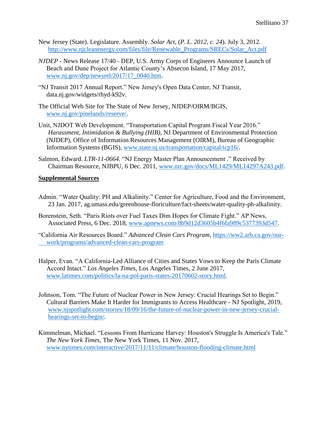- New Jersey (State). Legislature. Assembly. *Solar Act,* (*P. L. 2012, c. 24*). July 3, 2012. [http://www.njcleanenergy.com/files/file/Renewable\\_Programs/SRECs/Solar\\_Act.pdf](http://www.njcleanenergy.com/files/file/Renewable_Programs/SRECs/Solar_Act.pdf)
- *NJDEP -* News Release 17/40 DEP, U.S. Army Corps of Engineers Announce Launch of Beach and Dune Project for Atlantic County's Absecon Island, 17 May 2017, [www.nj.gov/dep/newsrel/2017/17\\_0040.htm.](http://www.nj.gov/dep/newsrel/2017/17_0040.htm)
- "NJ Transit 2017 Annual Report." New Jersey's Open Data Center, NJ Transit, data.nj.gov/widgets/rhyd-k92v.
- The Official Web Site for The State of New Jersey, NJDEP/OIRM/BGIS, [www.nj.gov/pinelands/reserve/.](http://www.nj.gov/pinelands/reserve/)
- Unit, NJDOT Web Development. "Transportation Capital Program Fiscal Year 2016." *Harassment, Intimidation & Bullying (HIB)*, NJ Department of Environmental Protection (NJDEP), Office of Information Resources Management (OIRM), Bureau of Geographic Information Systems (BGIS), [www.state.nj.us/transportation/capital/tcp16/.](http://www.state.nj.us/transportation/capital/tcp16/)
- Salmon, Edward. *LTR-11-0664.* "NJ Energy Master Plan Announcement ." Received by Chairman Resource, NJBPU, 6 Dec. 2011, [www.nrc.gov/docs/ML1429/ML14297A243.pdf.](http://www.nrc.gov/docs/ML1429/ML14297A243.pdf)

# **Supplemental Sources**

- Admin. "Water Quality: PH and Alkalinity." Center for Agriculture, Food and the Environment, 23 Jan. 2017, ag.umass.edu/greenhouse-floriculture/fact-sheets/water-quality-ph-alkalinity.
- Borenstein, Seth. "Paris Riots over Fuel Taxes Dim Hopes for Climate Fight." AP News, Associated Press, 6 Dec. 2018, [www.apnews.com/8b9d12d3605b4f6fa989c5377393d547.](http://www.apnews.com/8b9d12d3605b4f6fa989c5377393d547)
- "California Air Resources Board." *Advanced Clean Cars Program*, [https://ww2.arb.ca.gov/our](https://ww2.arb.ca.gov/our-%20%20%20%20%20work/programs/advanced-clean-cars-program)  [work/programs/advanced-clean-cars-program](https://ww2.arb.ca.gov/our-%20%20%20%20%20work/programs/advanced-clean-cars-program)
- Halper, Evan. "A California-Led Alliance of Cities and States Vows to Keep the Paris Climate Accord Intact." *Los Angeles Times*, Los Angeles Times, 2 June 2017, [www.latimes.com/politics/la-na-pol-paris-states-20170602-story.html.](http://www.latimes.com/politics/la-na-pol-paris-states-20170602-story.html)
- Johnson, Tom. "The Future of Nuclear Power in New Jersey: Crucial Hearings Set to Begin." Cultural Barriers Make It Harder for Immigrants to Access Healthcare - NJ Spotlight, 2019, [www.njspotlight.com/stories/18/09/16/the-future-of-nuclear-power-in-new-jersey-crucial](http://www.njspotlight.com/stories/18/09/16/the-future-of-nuclear-power-in-new-jersey-crucial-hearings-set-to-begin/)[hearings-set-to-begin/.](http://www.njspotlight.com/stories/18/09/16/the-future-of-nuclear-power-in-new-jersey-crucial-hearings-set-to-begin/)
- Kimmelman, Michael. "Lessons From Hurricane Harvey: Houston's Struggle Is America's Tale." *The New York Times*, The New York Times, 11 Nov. 2017, [www.nytimes.com/interactive/2017/11/11/climate/houston-flooding-climate.html](http://www.nytimes.com/interactive/2017/11/11/climate/houston-flooding-climate.html)